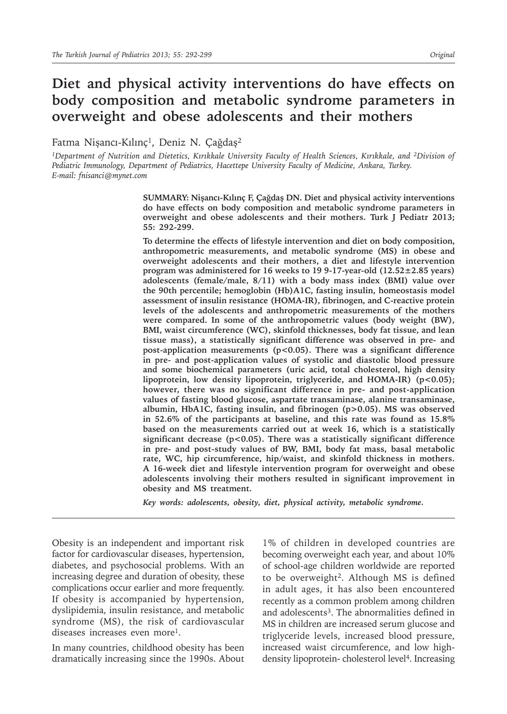# **Diet and physical activity interventions do have effects on body composition and metabolic syndrome parameters in overweight and obese adolescents and their mothers**

Fatma Nişancı-Kılınç<sup>1</sup>, Deniz N. Çağdaş<sup>2</sup>

*<sup>1</sup>Department of Nutrition and Dietetics, Kırıkkale University Faculty of Health Sciences, Kırıkkale, and 2Division of Pediatric Immunology, Department of Pediatrics, Hacettepe University Faculty of Medicine, Ankara, Turkey. E-mail: fnisanci@mynet.com*

> **SUMMARY: Nişancı-Kılınç F, Çağdaş DN. Diet and physical activity interventions do have effects on body composition and metabolic syndrome parameters in overweight and obese adolescents and their mothers. Turk J Pediatr 2013; 55: 292-299.**

> **To determine the effects of lifestyle intervention and diet on body composition, anthropometric measurements, and metabolic syndrome (MS) in obese and overweight adolescents and their mothers, a diet and lifestyle intervention program was administered for 16 weeks to 19 9-17-year-old (12.52±2.85 years) adolescents (female/male, 8/11) with a body mass index (BMI) value over the 90th percentile; hemoglobin (Hb)A1C, fasting insulin, homeostasis model assessment of insulin resistance (HOMA-IR), fibrinogen, and C-reactive protein levels of the adolescents and anthropometric measurements of the mothers were compared. In some of the anthropometric values (body weight (BW), BMI, waist circumference (WC), skinfold thicknesses, body fat tissue, and lean tissue mass), a statistically significant difference was observed in pre- and post-application measurements (p<0.05). There was a significant difference in pre- and post-application values of systolic and diastolic blood pressure and some biochemical parameters (uric acid, total cholesterol, high density**  lipoprotein, low density lipoprotein, triglyceride, and HOMA-IR) (p<0.05); **however, there was no significant difference in pre- and post-application values of fasting blood glucose, aspartate transaminase, alanine transaminase, albumin, HbA1C, fasting insulin, and fibrinogen (p>0.05). MS was observed in 52.6% of the participants at baseline, and this rate was found as 15.8% based on the measurements carried out at week 16, which is a statistically significant decrease (p<0.05). There was a statistically significant difference in pre- and post-study values of BW, BMI, body fat mass, basal metabolic rate, WC, hip circumference, hip/waist, and skinfold thickness in mothers. A 16-week diet and lifestyle intervention program for overweight and obese adolescents involving their mothers resulted in significant improvement in obesity and MS treatment.**

*Key words: adolescents, obesity, diet, physical activity, metabolic syndrome.*

Obesity is an independent and important risk factor for cardiovascular diseases, hypertension, diabetes, and psychosocial problems. With an increasing degree and duration of obesity, these complications occur earlier and more frequently. If obesity is accompanied by hypertension, dyslipidemia, insulin resistance, and metabolic syndrome (MS), the risk of cardiovascular diseases increases even more<sup>1</sup>.

In many countries, childhood obesity has been dramatically increasing since the 1990s. About

1% of children in developed countries are becoming overweight each year, and about 10% of school-age children worldwide are reported to be overweight<sup>2</sup>. Although MS is defined in adult ages, it has also been encountered recently as a common problem among children and adolescents<sup>3</sup>. The abnormalities defined in MS in children are increased serum glucose and triglyceride levels, increased blood pressure, increased waist circumference, and low highdensity lipoprotein- cholesterol level<sup>4</sup>. Increasing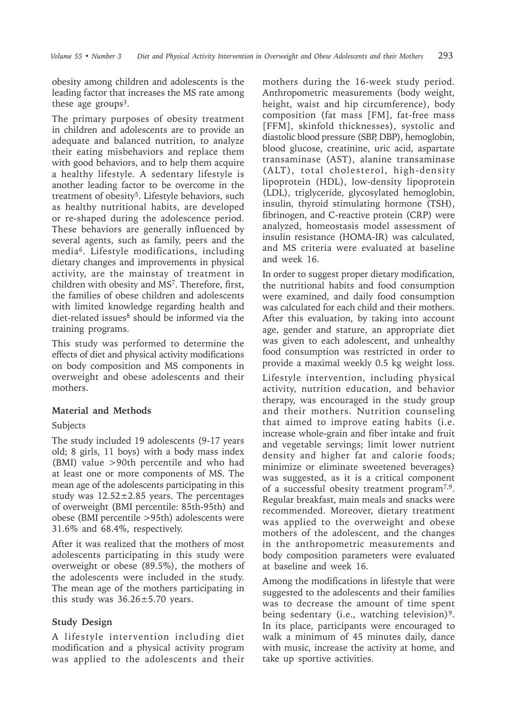obesity among children and adolescents is the leading factor that increases the MS rate among these age groups<sup>3</sup>.

The primary purposes of obesity treatment in children and adolescents are to provide an adequate and balanced nutrition, to analyze their eating misbehaviors and replace them with good behaviors, and to help them acquire a healthy lifestyle. A sedentary lifestyle is another leading factor to be overcome in the treatment of obesity<sup>5</sup>. Lifestyle behaviors, such as healthy nutritional habits, are developed or re-shaped during the adolescence period. These behaviors are generally influenced by several agents, such as family, peers and the media6. Lifestyle modifications, including dietary changes and improvements in physical activity, are the mainstay of treatment in children with obesity and MS<sup>7</sup>. Therefore, first, the families of obese children and adolescents with limited knowledge regarding health and diet-related issues<sup>8</sup> should be informed via the training programs.

This study was performed to determine the effects of diet and physical activity modifications on body composition and MS components in overweight and obese adolescents and their mothers.

### **Material and Methods**

# Subjects

The study included 19 adolescents (9-17 years old; 8 girls, 11 boys) with a body mass index (BMI) value >90th percentile and who had at least one or more components of MS. The mean age of the adolescents participating in this study was  $12.52 \pm 2.85$  years. The percentages of overweight (BMI percentile: 85th-95th) and obese (BMI percentile >95th) adolescents were 31.6% and 68.4%, respectively.

After it was realized that the mothers of most adolescents participating in this study were overweight or obese (89.5%), the mothers of the adolescents were included in the study. The mean age of the mothers participating in this study was  $36.26 \pm 5.70$  years.

# **Study Design**

A lifestyle intervention including diet modification and a physical activity program was applied to the adolescents and their mothers during the 16-week study period. Anthropometric measurements (body weight, height, waist and hip circumference), body composition (fat mass [FM], fat-free mass [FFM], skinfold thicknesses), systolic and diastolic blood pressure (SBP, DBP), hemoglobin, blood glucose, creatinine, uric acid, aspartate transaminase (AST), alanine transaminase (ALT), total cholesterol, high-density lipoprotein (HDL), low-density lipoprotein (LDL), triglyceride, glycosylated hemoglobin, insulin, thyroid stimulating hormone (TSH), fibrinogen, and C-reactive protein (CRP) were analyzed, homeostasis model assessment of insulin resistance (HOMA-IR) was calculated, and MS criteria were evaluated at baseline and week 16.

In order to suggest proper dietary modification, the nutritional habits and food consumption were examined, and daily food consumption was calculated for each child and their mothers. After this evaluation, by taking into account age, gender and stature, an appropriate diet was given to each adolescent, and unhealthy food consumption was restricted in order to provide a maximal weekly 0.5 kg weight loss.

Lifestyle intervention, including physical activity, nutrition education, and behavior therapy, was encouraged in the study group and their mothers. Nutrition counseling that aimed to improve eating habits (i.e. increase whole-grain and fiber intake and fruit and vegetable servings; limit lower nutrient density and higher fat and calorie foods; minimize or eliminate sweetened beverages) was suggested, as it is a critical component of a successful obesity treatment program7,9. Regular breakfast, main meals and snacks were recommended. Moreover, dietary treatment was applied to the overweight and obese mothers of the adolescent, and the changes in the anthropometric measurements and body composition parameters were evaluated at baseline and week 16.

Among the modifications in lifestyle that were suggested to the adolescents and their families was to decrease the amount of time spent being sedentary (i.e., watching television)<sup>9</sup>. In its place, participants were encouraged to walk a minimum of 45 minutes daily, dance with music, increase the activity at home, and take up sportive activities.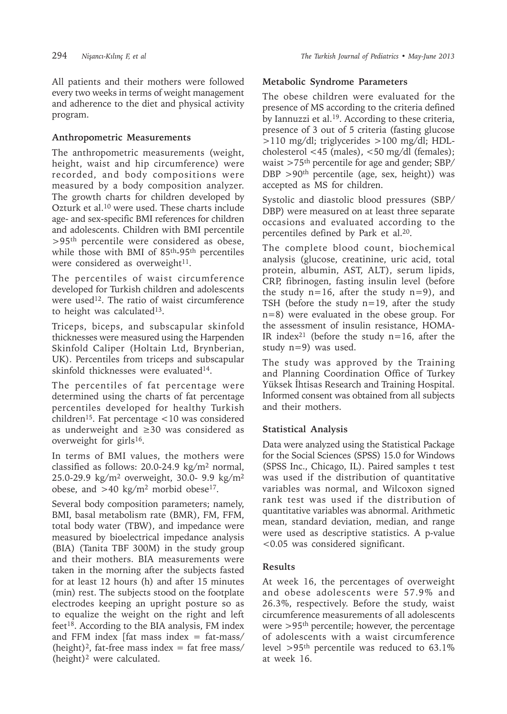All patients and their mothers were followed every two weeks in terms of weight management and adherence to the diet and physical activity program.

### **Anthropometric Measurements**

The anthropometric measurements (weight, height, waist and hip circumference) were recorded, and body compositions were measured by a body composition analyzer. The growth charts for children developed by Ozturk et al.10 were used. These charts include age- and sex-specific BMI references for children and adolescents. Children with BMI percentile >95th percentile were considered as obese, while those with BMI of 85th-95th percentiles were considered as overweight $11$ .

The percentiles of waist circumference developed for Turkish children and adolescents were used<sup>12</sup>. The ratio of waist circumference to height was calculated<sup>13</sup>.

Triceps, biceps, and subscapular skinfold thicknesses were measured using the Harpenden Skinfold Caliper (Holtain Ltd, Brynberian, UK). Percentiles from triceps and subscapular skinfold thicknesses were evaluated<sup>14</sup>.

The percentiles of fat percentage were determined using the charts of fat percentage percentiles developed for healthy Turkish children<sup>15</sup>. Fat percentage  $<$ 10 was considered as underweight and ≥30 was considered as overweight for girls<sup>16</sup>.

In terms of BMI values, the mothers were classified as follows:  $20.0-24.9$  kg/m<sup>2</sup> normal, 25.0-29.9 kg/m<sup>2</sup> overweight, 30.0- 9.9 kg/m<sup>2</sup> obese, and  $>40$  kg/m<sup>2</sup> morbid obese<sup>17</sup>.

Several body composition parameters; namely, BMI, basal metabolism rate (BMR), FM, FFM, total body water (TBW), and impedance were measured by bioelectrical impedance analysis (BIA) (Tanita TBF 300M) in the study group and their mothers. BIA measurements were taken in the morning after the subjects fasted for at least 12 hours (h) and after 15 minutes (min) rest. The subjects stood on the footplate electrodes keeping an upright posture so as to equalize the weight on the right and left feet<sup>18</sup>. According to the BIA analysis, FM index and FFM index [fat mass index  $=$  fat-mass/ (height)<sup>2</sup>, fat-free mass index = fat free mass/  $(height)^2$  were calculated.

### **Metabolic Syndrome Parameters**

The obese children were evaluated for the presence of MS according to the criteria defined by Iannuzzi et al.<sup>19</sup>. According to these criteria, presence of 3 out of 5 criteria (fasting glucose >110 mg/dl; triglycerides >100 mg/dl; HDLcholesterol <45 (males), <50 mg/dl (females); waist >75th percentile for age and gender; SBP/ DBP  $>90<sup>th</sup>$  percentile (age, sex, height)) was accepted as MS for children.

Systolic and diastolic blood pressures (SBP/ DBP) were measured on at least three separate occasions and evaluated according to the percentiles defined by Park et al.20.

The complete blood count, biochemical analysis (glucose, creatinine, uric acid, total protein, albumin, AST, ALT), serum lipids, CRP, fibrinogen, fasting insulin level (before the study  $n=16$ , after the study  $n=9$ ), and TSH (before the study  $n=19$ , after the study n=8) were evaluated in the obese group. For the assessment of insulin resistance, HOMA-IR index<sup>21</sup> (before the study  $n=16$ , after the study n=9) was used.

The study was approved by the Training and Planning Coordination Office of Turkey Yüksek İhtisas Research and Training Hospital. Informed consent was obtained from all subjects and their mothers.

### **Statistical Analysis**

Data were analyzed using the Statistical Package for the Social Sciences (SPSS) 15.0 for Windows (SPSS Inc., Chicago, IL). Paired samples t test was used if the distribution of quantitative variables was normal, and Wilcoxon signed rank test was used if the distribution of quantitative variables was abnormal. Arithmetic mean, standard deviation, median, and range were used as descriptive statistics. A p-value <0.05 was considered significant.

### **Results**

At week 16, the percentages of overweight and obese adolescents were 57.9% and 26.3%, respectively. Before the study, waist circumference measurements of all adolescents were >95th percentile; however, the percentage of adolescents with a waist circumference level  $>95$ <sup>th</sup> percentile was reduced to 63.1% at week 16.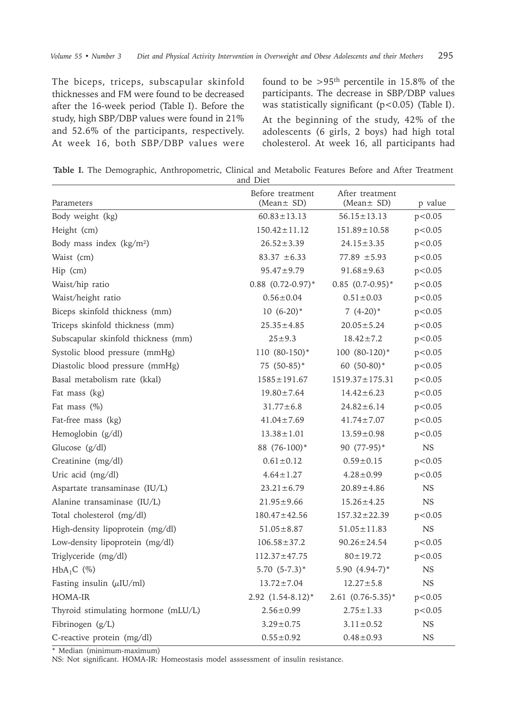The biceps, triceps, subscapular skinfold thicknesses and FM were found to be decreased after the 16-week period (Table I). Before the study, high SBP/DBP values were found in 21% and 52.6% of the participants, respectively. At week 16, both SBP/DBP values were

found to be >95th percentile in 15.8% of the participants. The decrease in SBP/DBP values was statistically significant  $(p<0.05)$  (Table I).

At the beginning of the study, 42% of the adolescents (6 girls, 2 boys) had high total cholesterol. At week 16, all participants had

**Table I.** The Demographic, Anthropometric, Clinical and Metabolic Features Before and After Treatment and Diet

| Parameters                           | Before treatment<br>(Mean $\pm$ SD) | After treatment<br>(Mean $\pm$ SD) | p value     |
|--------------------------------------|-------------------------------------|------------------------------------|-------------|
| Body weight (kg)                     | $60.83 \pm 13.13$                   | $56.15 \pm 13.13$                  | p < 0.05    |
| Height (cm)                          | $150.42 \pm 11.12$                  | $151.89 \pm 10.58$                 | p<0.05      |
| Body mass index (kg/m <sup>2</sup> ) | $26.52 \pm 3.39$                    | $24.15 \pm 3.35$                   | p<0.05      |
| Waist (cm)                           | $83.37 \pm 6.33$                    | $77.89 \pm 5.93$                   | p < 0.05    |
| Hip (cm)                             | $95.47 \pm 9.79$                    | $91.68 \pm 9.63$                   | p < 0.05    |
| Waist/hip ratio                      | $0.88$ $(0.72-0.97)$ *              | $0.85$ $(0.7-0.95)$ *              | p < 0.05    |
| Waist/height ratio                   | $0.56 \pm 0.04$                     | $0.51 \pm 0.03$                    | p < 0.05    |
| Biceps skinfold thickness (mm)       | $10(6-20)*$                         | $7(4-20)^*$                        | p < 0.05    |
| Triceps skinfold thickness (mm)      | $25.35 \pm 4.85$                    | $20.05 \pm 5.24$                   | p<0.05      |
| Subscapular skinfold thickness (mm)  | $25 \pm 9.3$                        | $18.42 \pm 7.2$                    | p < 0.05    |
| Systolic blood pressure (mmHg)       | 110 (80-150)*                       | 100 (80-120)*                      | p<0.05      |
| Diastolic blood pressure (mmHg)      | 75 (50-85)*                         | 60 (50-80)*                        | p < 0.05    |
| Basal metabolism rate (kkal)         | $1585 \pm 191.67$                   | $1519.37 \pm 175.31$               | p < 0.05    |
| Fat mass (kg)                        | $19.80 \pm 7.64$                    | $14.42 \pm 6.23$                   | p<0.05      |
| Fat mass (%)                         | $31.77 \pm 6.8$                     | $24.82 \pm 6.14$                   | p<0.05      |
| Fat-free mass (kg)                   | $41.04 \pm 7.69$                    | $41.74 \pm 7.07$                   | p<0.05      |
| Hemoglobin (g/dl)                    | $13.38 \pm 1.01$                    | $13.59 \pm 0.98$                   | p < 0.05    |
| Glucose (g/dl)                       | 88 (76-100)*                        | 90 (77-95)*                        | $_{\rm NS}$ |
| Creatinine (mg/dl)                   | $0.61 \pm 0.12$                     | $0.59 \pm 0.15$                    | p < 0.05    |
| Uric acid (mg/dl)                    | $4.64 \pm 1.27$                     | $4.28 \pm 0.99$                    | p < 0.05    |
| Aspartate transaminase (IU/L)        | $23.21 \pm 6.79$                    | $20.89 \pm 4.86$                   | <b>NS</b>   |
| Alanine transaminase (IU/L)          | $21.95 \pm 9.66$                    | $15.26 \pm 4.25$                   | <b>NS</b>   |
| Total cholesterol (mg/dl)            | $180.47 \pm 42.56$                  | $157.32 \pm 22.39$                 | p < 0.05    |
| High-density lipoprotein (mg/dl)     | $51.05 \pm 8.87$                    | $51.05 \pm 11.83$                  | <b>NS</b>   |
| Low-density lipoprotein (mg/dl)      | $106.58 \pm 37.2$                   | $90.26 \pm 24.54$                  | p < 0.05    |
| Triglyceride (mg/dl)                 | $112.37 \pm 47.75$                  | $80 \pm 19.72$                     | p < 0.05    |
| $HbA_1C$ (%)                         | $5.70 (5-7.3)^*$                    | 5.90 (4.94-7)*                     | <b>NS</b>   |
| Fasting insulin $(\mu I U/ml)$       | $13.72 \pm 7.04$                    | $12.27 \pm 5.8$                    | <b>NS</b>   |
| <b>HOMA-IR</b>                       | $2.92$ $(1.54-8.12)$ <sup>*</sup>   | $2.61 (0.76 - 5.35)^*$             | p < 0.05    |
| Thyroid stimulating hormone (mLU/L)  | $2.56 \pm 0.99$                     | $2.75 \pm 1.33$                    | p<0.05      |
| Fibrinogen (g/L)                     | $3.29 \pm 0.75$                     | $3.11 \pm 0.52$                    | <b>NS</b>   |
| C-reactive protein (mg/dl)           | $0.55 \pm 0.92$                     | $0.48 \pm 0.93$                    | <b>NS</b>   |

\* Median (minimum-maximum)

NS: Not significant. HOMA-IR: Homeostasis model asssessment of insulin resistance.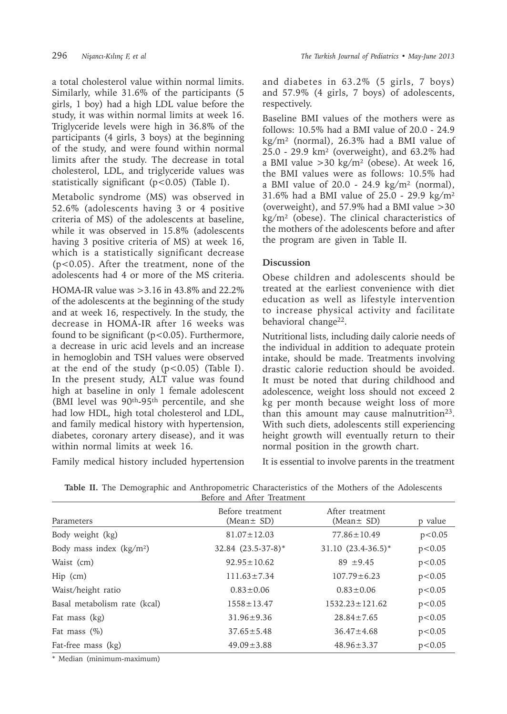a total cholesterol value within normal limits. Similarly, while 31.6% of the participants (5 girls, 1 boy) had a high LDL value before the study, it was within normal limits at week 16. Triglyceride levels were high in 36.8% of the participants (4 girls, 3 boys) at the beginning of the study, and were found within normal limits after the study. The decrease in total cholesterol, LDL, and triglyceride values was statistically significant (p<0.05) (Table I).

Metabolic syndrome (MS) was observed in 52.6% (adolescents having 3 or 4 positive criteria of MS) of the adolescents at baseline, while it was observed in 15.8% (adolescents having 3 positive criteria of MS) at week 16, which is a statistically significant decrease (p<0.05). After the treatment, none of the adolescents had 4 or more of the MS criteria. HOMA-IR value was >3.16 in 43.8% and 22.2% of the adolescents at the beginning of the study and at week 16, respectively. In the study, the decrease in HOMA-IR after 16 weeks was found to be significant  $(p<0.05)$ . Furthermore, a decrease in uric acid levels and an increase in hemoglobin and TSH values were observed at the end of the study  $(p<0.05)$  (Table I). In the present study, ALT value was found high at baseline in only 1 female adolescent (BMI level was 90th-95th percentile, and she had low HDL, high total cholesterol and LDL, and family medical history with hypertension, diabetes, coronary artery disease), and it was within normal limits at week 16.

Family medical history included hypertension

and diabetes in 63.2% (5 girls, 7 boys) and 57.9% (4 girls, 7 boys) of adolescents, respectively.

Baseline BMI values of the mothers were as follows: 10.5% had a BMI value of 20.0 - 24.9 kg/m² (normal), 26.3% had a BMI value of 25.0 - 29.9 km² (overweight), and 63.2% had a BMI value  $>30 \text{ kg/m}^2$  (obese). At week 16, the BMI values were as follows: 10.5% had a BMI value of  $20.0 - 24.9$  kg/m<sup>2</sup> (normal), 31.6% had a BMI value of 25.0 - 29.9 kg/m² (overweight), and 57.9% had a BMI value >30 kg/m² (obese). The clinical characteristics of the mothers of the adolescents before and after the program are given in Table II.

## **Discussion**

Obese children and adolescents should be treated at the earliest convenience with diet education as well as lifestyle intervention to increase physical activity and facilitate behavioral change22.

Nutritional lists, including daily calorie needs of the individual in addition to adequate protein intake, should be made. Treatments involving drastic calorie reduction should be avoided. It must be noted that during childhood and adolescence, weight loss should not exceed 2 kg per month because weight loss of more than this amount may cause malnutrition<sup>23</sup>. With such diets, adolescents still experiencing height growth will eventually return to their normal position in the growth chart.

It is essential to involve parents in the treatment

| Before and After Treatment   |                                |                               |         |  |  |
|------------------------------|--------------------------------|-------------------------------|---------|--|--|
| Parameters                   | Before treatment<br>(Mean± SD) | After treatment<br>(Mean± SD) | p value |  |  |
| Body weight (kg)             | $81.07 \pm 12.03$              | $77.86 \pm 10.49$             | p<0.05  |  |  |
| Body mass index $(kg/m2)$    | $32.84$ $(23.5-37-8)*$         | $31.10 (23.4 - 36.5)^*$       | p<0.05  |  |  |
| Waist (cm)                   | $92.95 \pm 10.62$              | $89 + 9.45$                   | p<0.05  |  |  |
| $Hip$ (cm)                   | $111.63 \pm 7.34$              | $107.79 \pm 6.23$             | p<0.05  |  |  |
| Waist/height ratio           | $0.83 \pm 0.06$                | $0.83 \pm 0.06$               | p<0.05  |  |  |
| Basal metabolism rate (kcal) | $1558 \pm 13.47$               | $1532.23 \pm 121.62$          | p<0.05  |  |  |
| Fat mass (kg)                | $31.96 \pm 9.36$               | $28.84 \pm 7.65$              | p<0.05  |  |  |
| Fat mass $(\%)$              | $37.65 \pm 5.48$               | $36.47 \pm 4.68$              | p<0.05  |  |  |
| Fat-free mass (kg)           | $49.09 \pm 3.88$               | $48.96 \pm 3.37$              | p<0.05  |  |  |

**Table II.** The Demographic and Anthropometric Characteristics of the Mothers of the Adolescents

\* Median (minimum-maximum)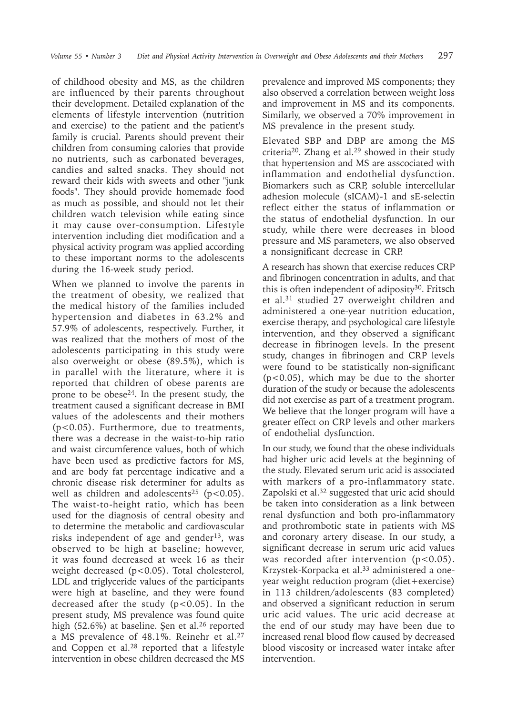of childhood obesity and MS, as the children are influenced by their parents throughout their development. Detailed explanation of the elements of lifestyle intervention (nutrition and exercise) to the patient and the patient's family is crucial. Parents should prevent their children from consuming calories that provide no nutrients, such as carbonated beverages, candies and salted snacks. They should not reward their kids with sweets and other "junk foods". They should provide homemade food as much as possible, and should not let their children watch television while eating since it may cause over-consumption. Lifestyle intervention including diet modification and a physical activity program was applied according to these important norms to the adolescents during the 16-week study period.

When we planned to involve the parents in the treatment of obesity, we realized that the medical history of the families included hypertension and diabetes in 63.2% and 57.9% of adolescents, respectively. Further, it was realized that the mothers of most of the adolescents participating in this study were also overweight or obese (89.5%), which is in parallel with the literature, where it is reported that children of obese parents are prone to be obese24. In the present study, the treatment caused a significant decrease in BMI values of the adolescents and their mothers (p<0.05). Furthermore, due to treatments, there was a decrease in the waist-to-hip ratio and waist circumference values, both of which have been used as predictive factors for MS, and are body fat percentage indicative and a chronic disease risk determiner for adults as well as children and adolescents<sup>25</sup> ( $p$ <0.05). The waist-to-height ratio, which has been used for the diagnosis of central obesity and to determine the metabolic and cardiovascular risks independent of age and gender<sup>13</sup>, was observed to be high at baseline; however, it was found decreased at week 16 as their weight decreased (p<0.05). Total cholesterol, LDL and triglyceride values of the participants were high at baseline, and they were found decreased after the study ( $p < 0.05$ ). In the present study, MS prevalence was found quite high (52.6%) at baseline. Şen et al.<sup>26</sup> reported a MS prevalence of 48.1%. Reinehr et al.<sup>27</sup> and Coppen et al. $28$  reported that a lifestyle intervention in obese children decreased the MS

prevalence and improved MS components; they also observed a correlation between weight loss and improvement in MS and its components. Similarly, we observed a 70% improvement in MS prevalence in the present study.

Elevated SBP and DBP are among the MS criteria20. Zhang et al.<sup>29</sup> showed in their study that hypertension and MS are asscociated with inflammation and endothelial dysfunction. Biomarkers such as CRP, soluble intercellular adhesion molecule (sICAM)-1 and sE-selectin reflect either the status of inflammation or the status of endothelial dysfunction. In our study, while there were decreases in blood pressure and MS parameters, we also observed a nonsignificant decrease in CRP.

A research has shown that exercise reduces CRP and fibrinogen concentration in adults, and that this is often independent of adiposity<sup>30</sup>. Fritsch et al.31 studied 27 overweight children and administered a one-year nutrition education, exercise therapy, and psychological care lifestyle intervention, and they observed a significant decrease in fibrinogen levels. In the present study, changes in fibrinogen and CRP levels were found to be statistically non-significant (p<0.05), which may be due to the shorter duration of the study or because the adolescents did not exercise as part of a treatment program. We believe that the longer program will have a greater effect on CRP levels and other markers of endothelial dysfunction.

In our study, we found that the obese individuals had higher uric acid levels at the beginning of the study. Elevated serum uric acid is associated with markers of a pro-inflammatory state. Zapolski et al.<sup>32</sup> suggested that uric acid should be taken into consideration as a link between renal dysfunction and both pro-inflammatory and prothrombotic state in patients with MS and coronary artery disease. In our study, a significant decrease in serum uric acid values was recorded after intervention  $(p<0.05)$ . Krzystek-Korpacka et al.<sup>33</sup> administered a oneyear weight reduction program (diet+exercise) in 113 children/adolescents (83 completed) and observed a significant reduction in serum uric acid values. The uric acid decrease at the end of our study may have been due to increased renal blood flow caused by decreased blood viscosity or increased water intake after intervention.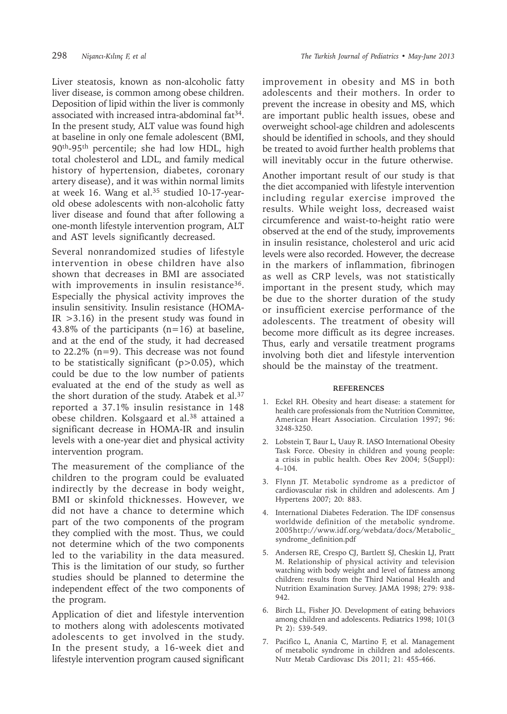Liver steatosis, known as non-alcoholic fatty liver disease, is common among obese children. Deposition of lipid within the liver is commonly associated with increased intra-abdominal fat<sup>34</sup>. In the present study, ALT value was found high at baseline in only one female adolescent (BMI, 90th-95th percentile; she had low HDL, high total cholesterol and LDL, and family medical history of hypertension, diabetes, coronary artery disease), and it was within normal limits at week 16. Wang et al.35 studied 10-17-yearold obese adolescents with non-alcoholic fatty liver disease and found that after following a one-month lifestyle intervention program, ALT and AST levels significantly decreased.

Several nonrandomized studies of lifestyle intervention in obese children have also shown that decreases in BMI are associated with improvements in insulin resistance<sup>36</sup>. Especially the physical activity improves the insulin sensitivity. Insulin resistance (HOMA- $IR > 3.16$ ) in the present study was found in 43.8% of the participants  $(n=16)$  at baseline, and at the end of the study, it had decreased to 22.2% (n=9). This decrease was not found to be statistically significant (p>0.05), which could be due to the low number of patients evaluated at the end of the study as well as the short duration of the study. Atabek et al.<sup>37</sup> reported a 37.1% insulin resistance in 148 obese children. Kolsgaard et al.<sup>38</sup> attained a significant decrease in HOMA-IR and insulin levels with a one-year diet and physical activity intervention program.

The measurement of the compliance of the children to the program could be evaluated indirectly by the decrease in body weight, BMI or skinfold thicknesses. However, we did not have a chance to determine which part of the two components of the program they complied with the most. Thus, we could not determine which of the two components led to the variability in the data measured. This is the limitation of our study, so further studies should be planned to determine the independent effect of the two components of the program.

Application of diet and lifestyle intervention to mothers along with adolescents motivated adolescents to get involved in the study. In the present study, a 16-week diet and lifestyle intervention program caused significant

improvement in obesity and MS in both adolescents and their mothers. In order to prevent the increase in obesity and MS, which are important public health issues, obese and overweight school-age children and adolescents should be identified in schools, and they should be treated to avoid further health problems that will inevitably occur in the future otherwise.

Another important result of our study is that the diet accompanied with lifestyle intervention including regular exercise improved the results. While weight loss, decreased waist circumference and waist-to-height ratio were observed at the end of the study, improvements in insulin resistance, cholesterol and uric acid levels were also recorded. However, the decrease in the markers of inflammation, fibrinogen as well as CRP levels, was not statistically important in the present study, which may be due to the shorter duration of the study or insufficient exercise performance of the adolescents. The treatment of obesity will become more difficult as its degree increases. Thus, early and versatile treatment programs involving both diet and lifestyle intervention should be the mainstay of the treatment.

#### **REFERENCES**

- 1. Eckel RH. Obesity and heart disease: a statement for health care professionals from the Nutrition Committee, American Heart Association. Circulation 1997; 96: 3248-3250.
- 2. Lobstein T, Baur L, Uauy R. IASO International Obesity Task Force. Obesity in children and young people: a crisis in public health. Obes Rev 2004; 5(Suppl): 4–104.
- 3. Flynn JT. Metabolic syndrome as a predictor of cardiovascular risk in children and adolescents. Am J Hypertens 2007; 20: 883.
- 4. International Diabetes Federation. The IDF consensus worldwide definition of the metabolic syndrome. 2005http://www.idf.org/webdata/docs/Metabolic\_ syndrome\_definition.pdf
- 5. Andersen RE, Crespo CJ, Bartlett SJ, Cheskin LJ, Pratt M. Relationship of physical activity and television watching with body weight and level of fatness among children: results from the Third National Health and Nutrition Examination Survey. JAMA 1998; 279: 938- 942.
- 6. Birch LL, Fisher JO. Development of eating behaviors among children and adolescents. Pediatrics 1998; 101(3 Pt 2): 539-549.
- 7. Pacifico L, Anania C, Martino F, et al. Management of metabolic syndrome in children and adolescents. Nutr Metab Cardiovasc Dis 2011; 21: 455-466.